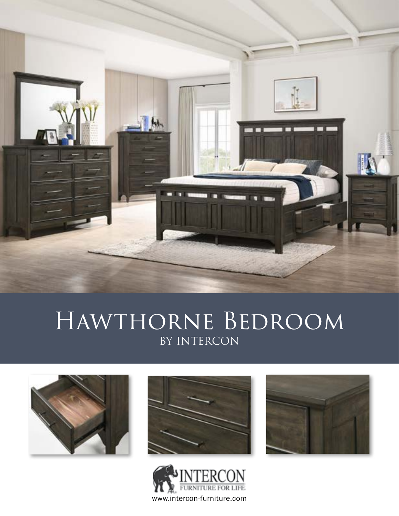

# HAWTHORNE BEDROOM BY INTERCON